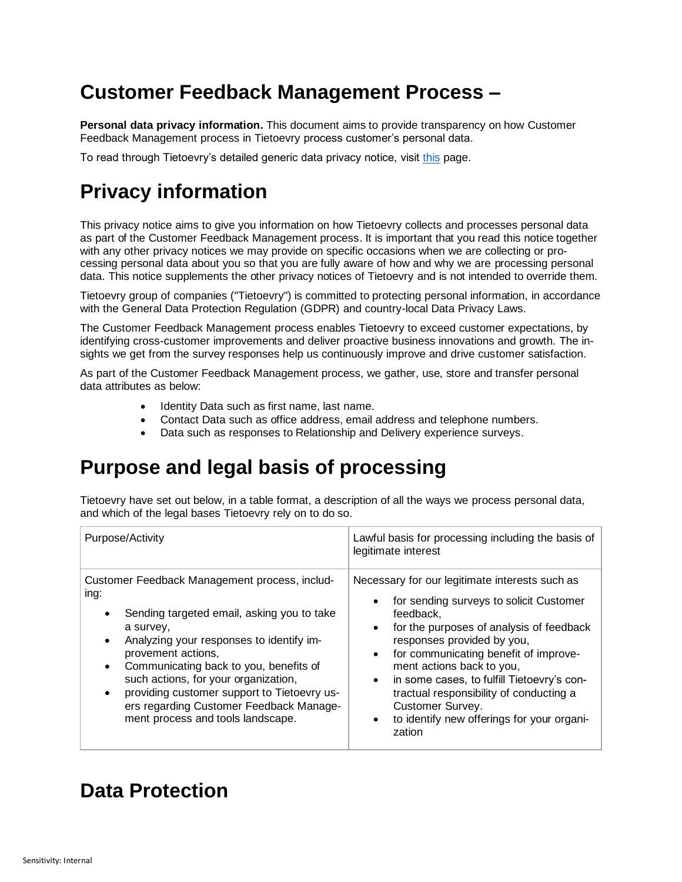## **Customer Feedback Management Process –**

**Personal data privacy information.** This document aims to provide transparency on how Customer Feedback Management process in Tietoevry process customer's personal data.

To read through Tietoevry's detailed generic data privacy notice, visit [this](https://www.tietoevry.com/en/privacy-notice/) [page.](https://www.tietoevry.com/en/privacy-notice/)

## **Privacy information**

This privacy notice aims to give you information on how Tietoevry collects and processes personal data as part of the Customer Feedback Management process. It is important that you read this notice together with any other privacy notices we may provide on specific occasions when we are collecting or processing personal data about you so that you are fully aware of how and why we are processing personal data. This notice supplements the other privacy notices of Tietoevry and is not intended to override them.

Tietoevry group of companies ("Tietoevry") is committed to protecting personal information, in accordance with the General Data Protection Regulation (GDPR) and country-local Data Privacy Laws.

The Customer Feedback Management process enables Tietoevry to exceed customer expectations, by identifying cross-customer improvements and deliver proactive business innovations and growth. The insights we get from the survey responses help us continuously improve and drive customer satisfaction.

As part of the Customer Feedback Management process, we gather, use, store and transfer personal data attributes as below:

- Identity Data such as first name, last name.
- Contact Data such as office address, email address and telephone numbers.
- Data such as responses to Relationship and Delivery experience surveys.

## **Purpose and legal basis of processing**

Tietoevry have set out below, in a table format, a description of all the ways we process personal data, and which of the legal bases Tietoevry rely on to do so.

| Purpose/Activity                                                                                                                                                                                                                                                                                                                                                                                                 | Lawful basis for processing including the basis of<br>legitimate interest                                                                                                                                                                                                                                                                                                                                                                                                       |
|------------------------------------------------------------------------------------------------------------------------------------------------------------------------------------------------------------------------------------------------------------------------------------------------------------------------------------------------------------------------------------------------------------------|---------------------------------------------------------------------------------------------------------------------------------------------------------------------------------------------------------------------------------------------------------------------------------------------------------------------------------------------------------------------------------------------------------------------------------------------------------------------------------|
| Customer Feedback Management process, includ-<br>ing:<br>Sending targeted email, asking you to take<br>a survey,<br>Analyzing your responses to identify im-<br>$\bullet$<br>provement actions,<br>Communicating back to you, benefits of<br>such actions, for your organization,<br>providing customer support to Tietoevry us-<br>ers regarding Customer Feedback Manage-<br>ment process and tools landscape. | Necessary for our legitimate interests such as<br>for sending surveys to solicit Customer<br>$\bullet$<br>feedback.<br>for the purposes of analysis of feedback<br>$\bullet$<br>responses provided by you,<br>for communicating benefit of improve-<br>$\bullet$<br>ment actions back to you,<br>in some cases, to fulfill Tietoevry's con-<br>$\bullet$<br>tractual responsibility of conducting a<br>Customer Survey.<br>to identify new offerings for your organi-<br>zation |

## **Data Protection**